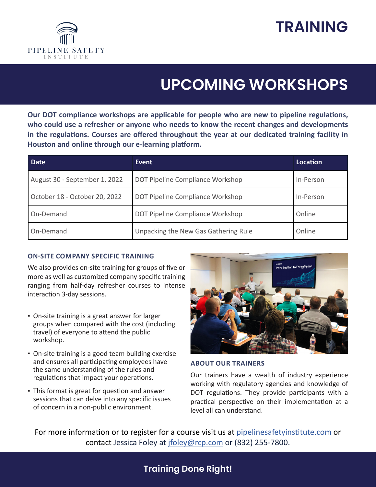



# **UPCOMING WORKSHOPS**

**Our DOT compliance workshops are applicable for people who are new to pipeline regulations, who could use a refresher or anyone who needs to know the recent changes and developments in the regulations. Courses are offered throughout the year at our dedicated training facility in Houston and online through our e-learning platform.** 

| Date                          | Event                                | Location  |
|-------------------------------|--------------------------------------|-----------|
| August 30 - September 1, 2022 | DOT Pipeline Compliance Workshop     | In-Person |
| October 18 - October 20, 2022 | DOT Pipeline Compliance Workshop     | In-Person |
| On-Demand                     | DOT Pipeline Compliance Workshop     | Online    |
| On-Demand                     | Unpacking the New Gas Gathering Rule | Online    |

### **ON-SITE COMPANY SPECIFIC TRAINING**

We also provides on-site training for groups of five or more as well as customized company specific training ranging from half-day refresher courses to intense interaction 3-day sessions.

- **On-site training is a great answer for larger** groups when compared with the cost (including travel) of everyone to attend the public workshop.
- On-site training is a good team building exercise and ensures all participating employees have the same understanding of the rules and regulations that impact your operations.
- **This format is great for question and answer** sessions that can delve into any specific issues of concern in a non-public environment.



#### **ABOUT OUR TRAINERS**

Our trainers have a wealth of industry experience working with regulatory agencies and knowledge of DOT regulations. They provide participants with a practical perspective on their implementation at a level all can understand.

For more information or to register for a course visit us at pipelinesafetyinstitute.com or contact Jessica Foley at jfoley@rcp.com or (832) 255-7800.

## **Training Done Right!**